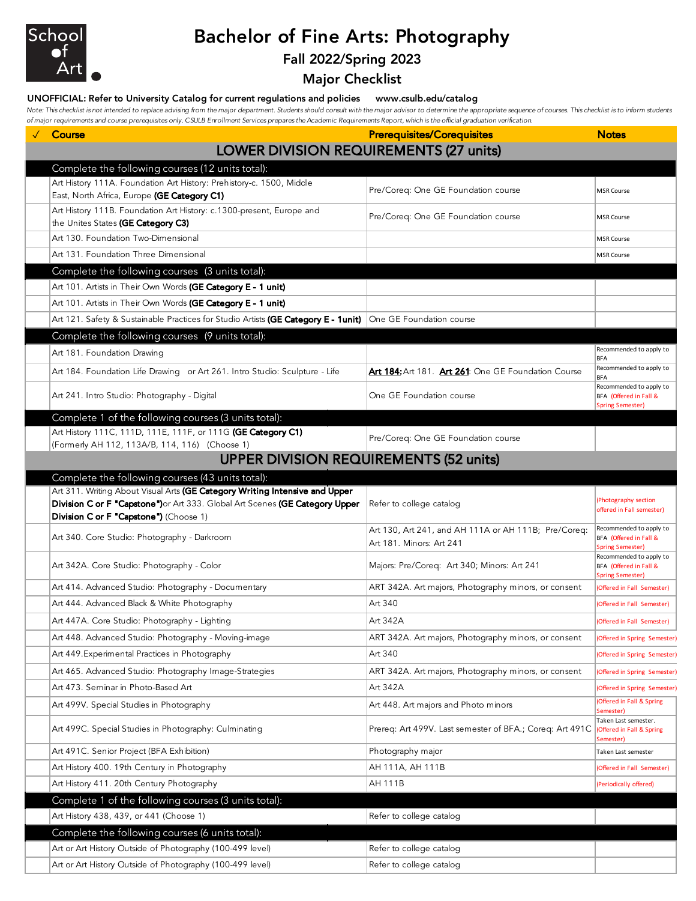

# Bachelor of Fine Arts: Photography

## Fall 2022/Spring 2023

Major Checklist

#### UNOFFICIAL: Refer to University Catalog for current regulations and policies www.csulb.edu/catalog

Note: This checklist is not intended to replace advising from the major department. Students should consult with the major advisor to determine the appropriate sequence of courses. This checklist is to inform students *of major requirements and course prerequisites only. CSULB Enrollment Services prepares the Academic Requirements Report, which is the official graduation verification.*

| ormajor requirements and course prerequisites only. C30LD Enromment services prepares the Academic Neguli ements Neport, which is the onicial graduation verification.<br>$\sqrt{C}$ Course           | <b>Prerequisites/Corequisites</b>                        | <b>Notes</b>                                                                 |
|-------------------------------------------------------------------------------------------------------------------------------------------------------------------------------------------------------|----------------------------------------------------------|------------------------------------------------------------------------------|
|                                                                                                                                                                                                       | <b>LOWER DIVISION REQUIREMENTS (27 units)</b>            |                                                                              |
| Complete the following courses (12 units total):                                                                                                                                                      |                                                          |                                                                              |
| Art History 111A. Foundation Art History: Prehistory-c. 1500, Middle                                                                                                                                  |                                                          |                                                                              |
| East, North Africa, Europe (GE Category C1)                                                                                                                                                           | Pre/Coreq: One GE Foundation course                      | <b>MSR Course</b>                                                            |
| Art History 111B. Foundation Art History: c.1300-present, Europe and<br>the Unites States (GE Category C3)                                                                                            | Pre/Coreq: One GE Foundation course                      | <b>MSR Course</b>                                                            |
| Art 130. Foundation Two-Dimensional                                                                                                                                                                   |                                                          | <b>MSR Course</b>                                                            |
| Art 131. Foundation Three Dimensional                                                                                                                                                                 |                                                          | <b>MSR Course</b>                                                            |
| Complete the following courses (3 units total):                                                                                                                                                       |                                                          |                                                                              |
| Art 101. Artists in Their Own Words (GE Category E - 1 unit)                                                                                                                                          |                                                          |                                                                              |
| Art 101. Artists in Their Own Words (GE Category E - 1 unit)                                                                                                                                          |                                                          |                                                                              |
| Art 121. Safety & Sustainable Practices for Studio Artists (GE Category E - 1unit) One GE Foundation course                                                                                           |                                                          |                                                                              |
| Complete the following courses (9 units total):                                                                                                                                                       |                                                          |                                                                              |
| Art 181. Foundation Drawing                                                                                                                                                                           |                                                          | Recommended to apply to<br><b>BFA</b>                                        |
| Art 184. Foundation Life Drawing or Art 261. Intro Studio: Sculpture - Life                                                                                                                           | Art 184: Art 181. Art 261: One GE Foundation Course      | Recommended to apply to<br><b>BFA</b>                                        |
| Art 241. Intro Studio: Photography - Digital                                                                                                                                                          | One GE Foundation course                                 | Recommended to apply to<br>BFA (Offered in Fall &<br><b>Spring Semester)</b> |
| Complete 1 of the following courses (3 units total):                                                                                                                                                  |                                                          |                                                                              |
| Art History 111C, 111D, 111E, 111F, or 111G (GE Category C1)                                                                                                                                          | Pre/Coreq: One GE Foundation course                      |                                                                              |
| (Formerly AH 112, 113A/B, 114, 116) (Choose 1)                                                                                                                                                        |                                                          |                                                                              |
|                                                                                                                                                                                                       | <b>UPPER DIVISION REQUIREMENTS (52 units)</b>            |                                                                              |
| Complete the following courses (43 units total):                                                                                                                                                      |                                                          |                                                                              |
| Art 311. Writing About Visual Arts (GE Category Writing Intensive and Upper<br>Division C or F "Capstone") or Art 333. Global Art Scenes (GE Category Upper<br>Division C or F "Capstone") (Choose 1) | Refer to college catalog                                 | (Photography section<br>offered in Fall semester)                            |
|                                                                                                                                                                                                       | Art 130, Art 241, and AH 111A or AH 111B; Pre/Coreq:     | Recommended to apply to                                                      |
| Art 340. Core Studio: Photography - Darkroom                                                                                                                                                          | Art 181. Minors: Art 241                                 | BFA (Offered in Fall &<br><b>Spring Semester)</b>                            |
| Art 342A. Core Studio: Photography - Color                                                                                                                                                            | Majors: Pre/Coreq: Art 340; Minors: Art 241              | Recommended to apply to<br>BFA (Offered in Fall &<br><b>Spring Semester)</b> |
| Art 414. Advanced Studio: Photography - Documentary                                                                                                                                                   | ART 342A. Art majors, Photography minors, or consent     | (Offered in Fall Semester)                                                   |
| Art 444. Advanced Black & White Photography                                                                                                                                                           | Art 340                                                  | (Offered in Fall Semester)                                                   |
| Art 447A. Core Studio: Photography - Lighting                                                                                                                                                         | Art 342A                                                 | (Offered in Fall Semester)                                                   |
| Art 448. Advanced Studio: Photography - Moving-image                                                                                                                                                  | ART 342A. Art majors, Photography minors, or consent     | (Offered in Spring Semester)                                                 |
| Art 449. Experimental Practices in Photography                                                                                                                                                        | Art 340                                                  | Offered in Spring Semester)                                                  |
| Art 465. Advanced Studio: Photography Image-Strategies                                                                                                                                                | ART 342A. Art majors, Photography minors, or consent     | Offered in Spring Semester)                                                  |
| Art 473. Seminar in Photo-Based Art                                                                                                                                                                   | Art 342A                                                 | (Offered in Spring Semester)                                                 |
| Art 499V. Special Studies in Photography                                                                                                                                                              | Art 448. Art majors and Photo minors                     | (Offered in Fall & Spring<br>Semester)                                       |
| Art 499C. Special Studies in Photography: Culminating                                                                                                                                                 | Prereg: Art 499V. Last semester of BFA.; Coreg: Art 491C | Taken Last semester.<br><b>Offered in Fall &amp; Spring</b><br>Semester)     |
| Art 491C. Senior Project (BFA Exhibition)                                                                                                                                                             | Photography major                                        | Taken Last semester                                                          |
| Art History 400. 19th Century in Photography                                                                                                                                                          | AH 111A, AH 111B                                         | (Offered in Fall Semester)                                                   |
| Art History 411. 20th Century Photography                                                                                                                                                             | AH 111B                                                  | (Periodically offered)                                                       |
| Complete 1 of the following courses (3 units total):                                                                                                                                                  |                                                          |                                                                              |
| Art History 438, 439, or 441 (Choose 1)                                                                                                                                                               | Refer to college catalog                                 |                                                                              |
| Complete the following courses (6 units total):                                                                                                                                                       |                                                          |                                                                              |
| Art or Art History Outside of Photography (100-499 level)                                                                                                                                             | Refer to college catalog                                 |                                                                              |
| Art or Art History Outside of Photography (100-499 level)                                                                                                                                             | Refer to college catalog                                 |                                                                              |